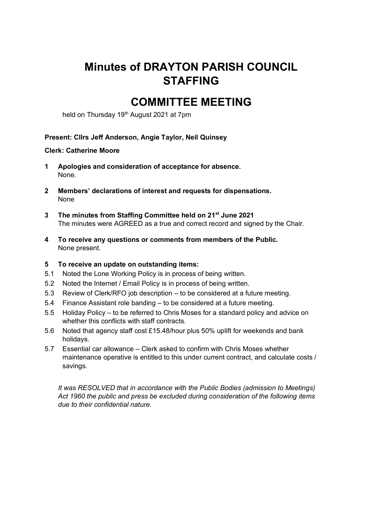# **Minutes of DRAYTON PARISH COUNCIL STAFFING**

# **COMMITTEE MEETING**

held on Thursday 19<sup>th</sup> August 2021 at 7pm

## **Present: Cllrs Jeff Anderson, Angie Taylor, Neil Quinsey**

#### **Clerk: Catherine Moore**

- **1 Apologies and consideration of acceptance for absence.**  None.
- **2 Members' declarations of interest and requests for dispensations.**  None
- **3 The minutes from Staffing Committee held on 21st June 2021** The minutes were AGREED as a true and correct record and signed by the Chair.
- **4 To receive any questions or comments from members of the Public.**  None present.
- **5 To receive an update on outstanding items:**
- 5.1 Noted the Lone Working Policy is in process of being written.
- 5.2 Noted the Internet / Email Policy is in process of being written.
- 5.3 Review of Clerk/RFO job description to be considered at a future meeting.
- 5.4 Finance Assistant role banding to be considered at a future meeting.
- 5.5 Holiday Policy to be referred to Chris Moses for a standard policy and advice on whether this conflicts with staff contracts.
- 5.6 Noted that agency staff cost £15.48/hour plus 50% uplift for weekends and bank holidays.
- 5.7 Essential car allowance Clerk asked to confirm with Chris Moses whether maintenance operative is entitled to this under current contract, and calculate costs / savings.

*It was RESOLVED that in accordance with the Public Bodies (admission to Meetings) Act 1960 the public and press be excluded during consideration of the following items due to their confidential nature.*